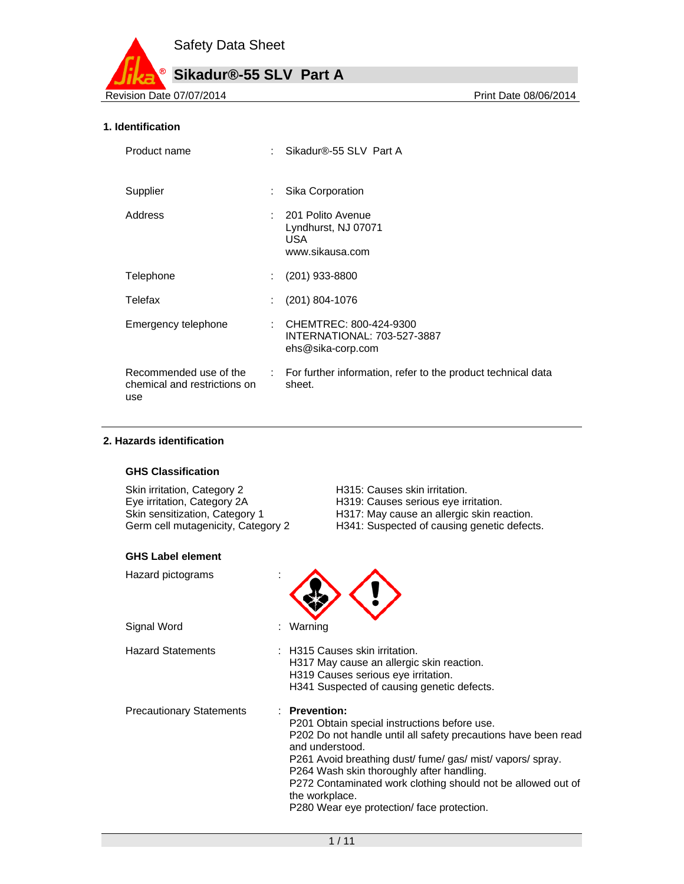

#### **1. Identification**

| Product name                                                  | Sikadur®-55 SLV Part A                                                       |
|---------------------------------------------------------------|------------------------------------------------------------------------------|
| Supplier                                                      | Sika Corporation                                                             |
| Address                                                       | : 201 Polito Avenue<br>Lyndhurst, NJ 07071<br><b>USA</b><br>www.sikausa.com  |
| <b>Telephone</b>                                              | $(201)$ 933-8800                                                             |
| Telefax                                                       | $(201)$ 804-1076                                                             |
| Emergency telephone                                           | : CHEMTREC: 800-424-9300<br>INTERNATIONAL: 703-527-3887<br>ehs@sika-corp.com |
| Recommended use of the<br>chemical and restrictions on<br>use | : For further information, refer to the product technical data<br>sheet.     |

#### **2. Hazards identification**

#### **GHS Classification**

| H <sub>315</sub> |
|------------------|
| H319             |
| H <sub>317</sub> |
| H <sub>341</sub> |
|                  |

#### **GHS Label element**

| Hazard pictograms |  |
|-------------------|--|
|-------------------|--|

Signal Word : Warning

- 5: Causes skin irritation. 9: Causes serious eye irritation. If May cause an allergic skin reaction.
- : Suspected of causing genetic defects.



Hazard Statements : H315 Causes skin irritation. H317 May cause an allergic skin reaction. H319 Causes serious eye irritation. H341 Suspected of causing genetic defects.

Precautionary Statements : **Prevention:** 

P201 Obtain special instructions before use. P202 Do not handle until all safety precautions have been read and understood. P261 Avoid breathing dust/ fume/ gas/ mist/ vapors/ spray. P264 Wash skin thoroughly after handling. P272 Contaminated work clothing should not be allowed out of the workplace. P280 Wear eye protection/ face protection.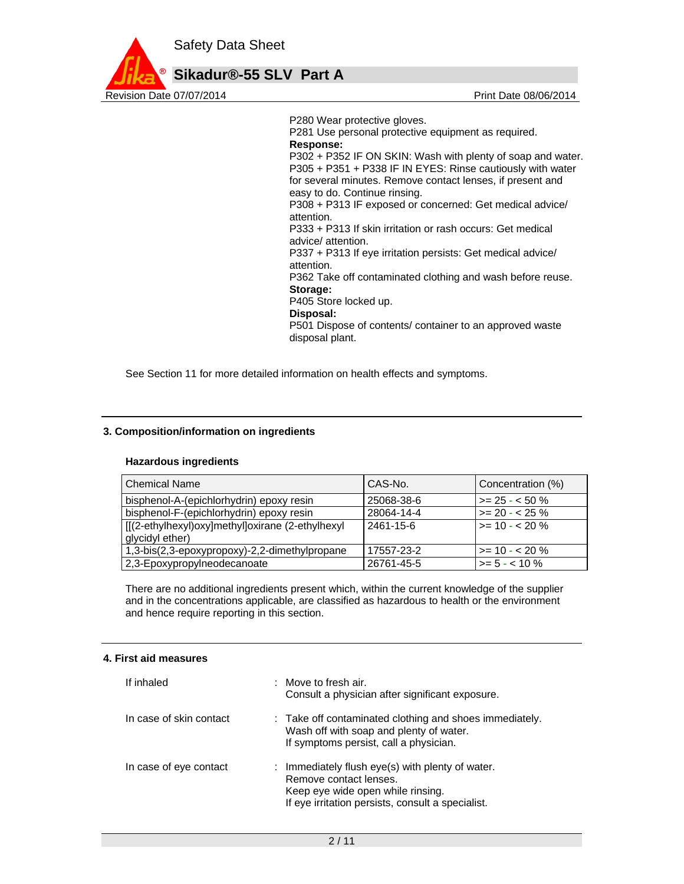

P280 Wear protective gloves.

P281 Use personal protective equipment as required. **Response:**  P302 + P352 IF ON SKIN: Wash with plenty of soap and water. P305 + P351 + P338 IF IN EYES: Rinse cautiously with water for several minutes. Remove contact lenses, if present and easy to do. Continue rinsing. P308 + P313 IF exposed or concerned: Get medical advice/ attention. P333 + P313 If skin irritation or rash occurs: Get medical advice/ attention. P337 + P313 If eye irritation persists: Get medical advice/ attention. P362 Take off contaminated clothing and wash before reuse. **Storage:**  P405 Store locked up. **Disposal:**  P501 Dispose of contents/ container to an approved waste disposal plant.

See Section 11 for more detailed information on health effects and symptoms.

#### **3. Composition/information on ingredients**

#### **Hazardous ingredients**

| <b>Chemical Name</b>                                                | CAS-No.    | Concentration (%)      |
|---------------------------------------------------------------------|------------|------------------------|
| bisphenol-A-(epichlorhydrin) epoxy resin                            | 25068-38-6 | $\ge$ = 25 - < 50 %    |
| bisphenol-F-(epichlorhydrin) epoxy resin                            | 28064-14-4 | $>= 20 - 25 \%$        |
| [[(2-ethylhexyl)oxy]methyl]oxirane (2-ethylhexyl<br>glycidyl ether) | 2461-15-6  | $\vert$ >= 10 - < 20 % |
| 1,3-bis(2,3-epoxypropoxy)-2,2-dimethylpropane                       | 17557-23-2 | $\ge$ = 10 - < 20 %    |
| 2,3-Epoxypropylneodecanoate                                         | 26761-45-5 | $\ge$ = 5 - < 10 %     |

There are no additional ingredients present which, within the current knowledge of the supplier and in the concentrations applicable, are classified as hazardous to health or the environment and hence require reporting in this section.

#### **4. First aid measures**

| If inhaled              | $:$ Move to fresh air.<br>Consult a physician after significant exposure.                                                                                            |
|-------------------------|----------------------------------------------------------------------------------------------------------------------------------------------------------------------|
| In case of skin contact | : Take off contaminated clothing and shoes immediately.<br>Wash off with soap and plenty of water.<br>If symptoms persist, call a physician.                         |
| In case of eye contact  | : Immediately flush eye(s) with plenty of water.<br>Remove contact lenses.<br>Keep eye wide open while rinsing.<br>If eye irritation persists, consult a specialist. |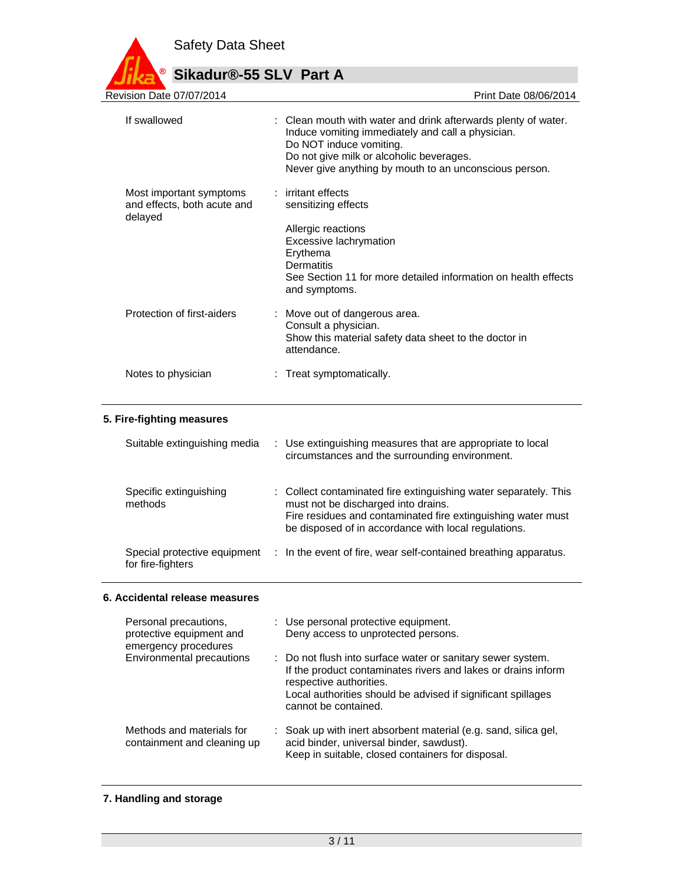

| Revision Date 07/07/2014                                          | Print Date 08/06/2014                                                                                                                                                                                                                                |
|-------------------------------------------------------------------|------------------------------------------------------------------------------------------------------------------------------------------------------------------------------------------------------------------------------------------------------|
| If swallowed                                                      | : Clean mouth with water and drink afterwards plenty of water.<br>Induce vomiting immediately and call a physician.<br>Do NOT induce vomiting.<br>Do not give milk or alcoholic beverages.<br>Never give anything by mouth to an unconscious person. |
| Most important symptoms<br>and effects, both acute and<br>delayed | : irritant effects<br>sensitizing effects                                                                                                                                                                                                            |
|                                                                   | Allergic reactions<br>Excessive lachrymation<br>Erythema<br><b>Dermatitis</b><br>See Section 11 for more detailed information on health effects<br>and symptoms.                                                                                     |
| Protection of first-aiders                                        | : Move out of dangerous area.<br>Consult a physician.<br>Show this material safety data sheet to the doctor in<br>attendance.                                                                                                                        |
| Notes to physician                                                | : Treat symptomatically.                                                                                                                                                                                                                             |
| 5. Fire-fighting measures                                         |                                                                                                                                                                                                                                                      |
| Suitable extinguishing media                                      | Use extinguishing measures that are appropriate to local<br>÷<br>circumstances and the surrounding environment.                                                                                                                                      |

| Specific extinguishing<br>methods                 | : Collect contaminated fire extinguishing water separately. This<br>must not be discharged into drains.<br>Fire residues and contaminated fire extinguishing water must<br>be disposed of in accordance with local regulations. |
|---------------------------------------------------|---------------------------------------------------------------------------------------------------------------------------------------------------------------------------------------------------------------------------------|
| Special protective equipment<br>for fire-fighters | : In the event of fire, wear self-contained breathing apparatus.                                                                                                                                                                |

### **6. Accidental release measures**

| Personal precautions,<br>protective equipment and<br>emergency procedures | : Use personal protective equipment.<br>Deny access to unprotected persons.                                                                                                                                                                     |
|---------------------------------------------------------------------------|-------------------------------------------------------------------------------------------------------------------------------------------------------------------------------------------------------------------------------------------------|
| Environmental precautions                                                 | : Do not flush into surface water or sanitary sewer system.<br>If the product contaminates rivers and lakes or drains inform<br>respective authorities.<br>Local authorities should be advised if significant spillages<br>cannot be contained. |
| Methods and materials for<br>containment and cleaning up                  | : Soak up with inert absorbent material (e.g. sand, silica gel,<br>acid binder, universal binder, sawdust).<br>Keep in suitable, closed containers for disposal.                                                                                |

# **7. Handling and storage**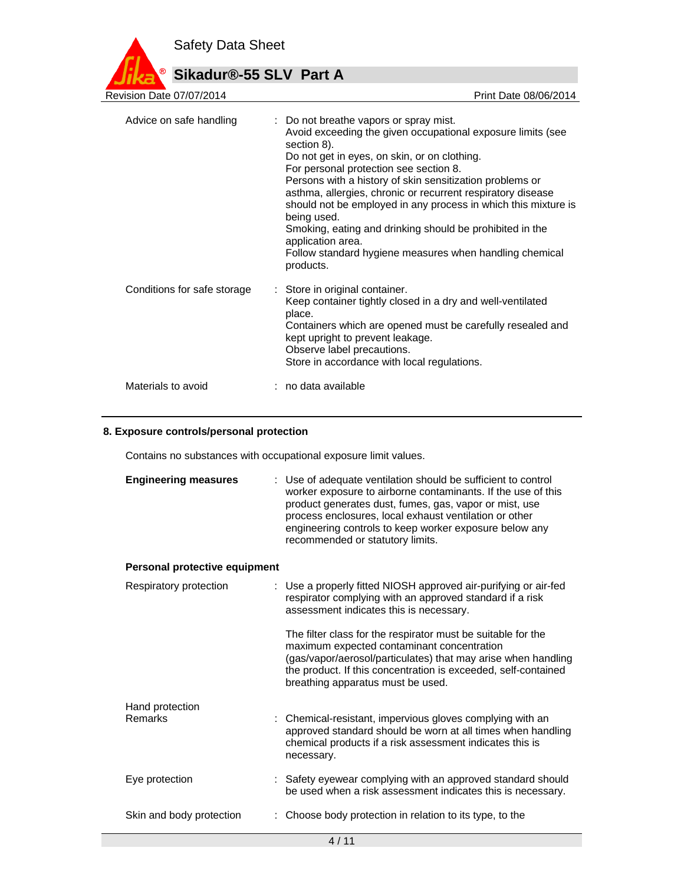

# **Sikadur®-55 SLV Part A**

| Revision Date 07/07/2014    | Print Date 08/06/2014                                                                                                                                                                                                                                                                                                                                                                                                                                                                                                                                                               |
|-----------------------------|-------------------------------------------------------------------------------------------------------------------------------------------------------------------------------------------------------------------------------------------------------------------------------------------------------------------------------------------------------------------------------------------------------------------------------------------------------------------------------------------------------------------------------------------------------------------------------------|
| Advice on safe handling     | : Do not breathe vapors or spray mist.<br>Avoid exceeding the given occupational exposure limits (see<br>section 8).<br>Do not get in eyes, on skin, or on clothing.<br>For personal protection see section 8.<br>Persons with a history of skin sensitization problems or<br>asthma, allergies, chronic or recurrent respiratory disease<br>should not be employed in any process in which this mixture is<br>being used.<br>Smoking, eating and drinking should be prohibited in the<br>application area.<br>Follow standard hygiene measures when handling chemical<br>products. |
| Conditions for safe storage | : Store in original container.<br>Keep container tightly closed in a dry and well-ventilated<br>place.<br>Containers which are opened must be carefully resealed and<br>kept upright to prevent leakage.<br>Observe label precautions.<br>Store in accordance with local regulations.                                                                                                                                                                                                                                                                                               |
| Materials to avoid          | : no data available                                                                                                                                                                                                                                                                                                                                                                                                                                                                                                                                                                 |

#### **8. Exposure controls/personal protection**

Contains no substances with occupational exposure limit values.

| <b>Engineering measures</b>   | : Use of adequate ventilation should be sufficient to control<br>worker exposure to airborne contaminants. If the use of this<br>product generates dust, fumes, gas, vapor or mist, use<br>process enclosures, local exhaust ventilation or other<br>engineering controls to keep worker exposure below any<br>recommended or statutory limits. |
|-------------------------------|-------------------------------------------------------------------------------------------------------------------------------------------------------------------------------------------------------------------------------------------------------------------------------------------------------------------------------------------------|
| Personal protective equipment |                                                                                                                                                                                                                                                                                                                                                 |
| Respiratory protection        | : Use a properly fitted NIOSH approved air-purifying or air-fed<br>respirator complying with an approved standard if a risk<br>assessment indicates this is necessary.                                                                                                                                                                          |
|                               | The filter class for the respirator must be suitable for the<br>maximum expected contaminant concentration<br>(gas/vapor/aerosol/particulates) that may arise when handling<br>the product. If this concentration is exceeded, self-contained<br>breathing apparatus must be used.                                                              |
| Hand protection<br>Remarks    | : Chemical-resistant, impervious gloves complying with an<br>approved standard should be worn at all times when handling<br>chemical products if a risk assessment indicates this is<br>necessary.                                                                                                                                              |
| Eye protection                | : Safety eyewear complying with an approved standard should<br>be used when a risk assessment indicates this is necessary.                                                                                                                                                                                                                      |
| Skin and body protection      | Choose body protection in relation to its type, to the                                                                                                                                                                                                                                                                                          |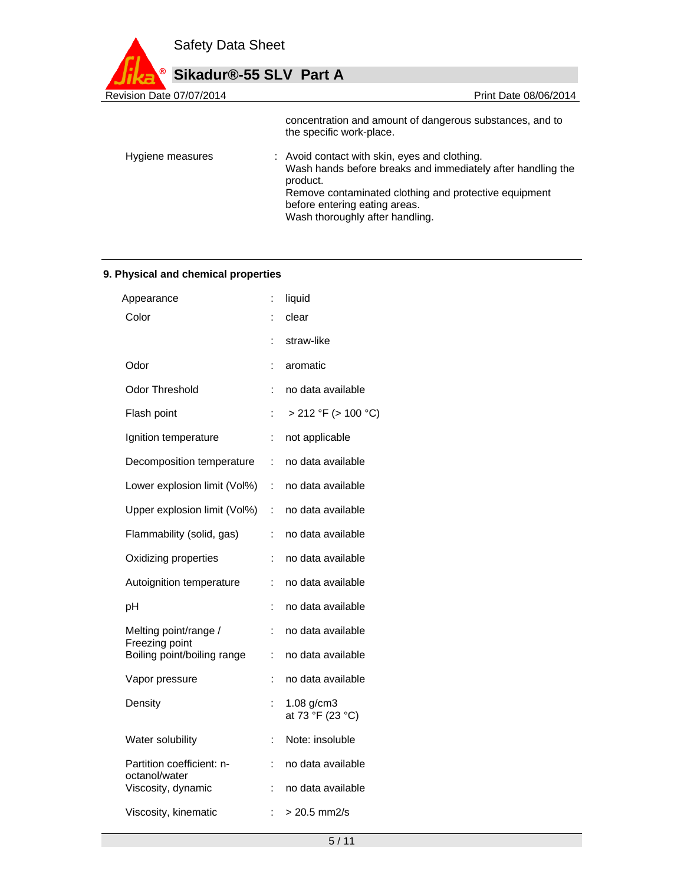

concentration and amount of dangerous substances, and to the specific work-place. Hygiene measures : Avoid contact with skin, eyes and clothing. Wash hands before breaks and immediately after handling the product. Remove contaminated clothing and protective equipment before entering eating areas. Wash thoroughly after handling.

#### **9. Physical and chemical properties**

| Appearance                                 | İ. | liquid                              |
|--------------------------------------------|----|-------------------------------------|
| Color                                      | t  | clear                               |
|                                            | t  | straw-like                          |
| Odor                                       | ÷  | aromatic                            |
| Odor Threshold                             | ÷  | no data available                   |
| Flash point                                |    | > 212 °F (> 100 °C)                 |
| Ignition temperature                       | İ. | not applicable                      |
| Decomposition temperature                  | ÷  | no data available                   |
| Lower explosion limit (Vol%)               | t. | no data available                   |
| Upper explosion limit (Vol%)               | ÷  | no data available                   |
| Flammability (solid, gas)                  | t  | no data available                   |
| Oxidizing properties                       | ÷  | no data available                   |
| Autoignition temperature                   | ÷  | no data available                   |
| рH                                         | İ. | no data available                   |
| Melting point/range /<br>Freezing point    | ÷  | no data available                   |
| Boiling point/boiling range                | İ. | no data available                   |
| Vapor pressure                             | t  | no data available                   |
| Density                                    | t  | $1.08$ g/cm $3$<br>at 73 °F (23 °C) |
| Water solubility                           | İ. | Note: insoluble                     |
| Partition coefficient: n-<br>octanol/water | ÷  | no data available                   |
| Viscosity, dynamic                         | t  | no data available                   |
| Viscosity, kinematic                       | t. | $> 20.5$ mm2/s                      |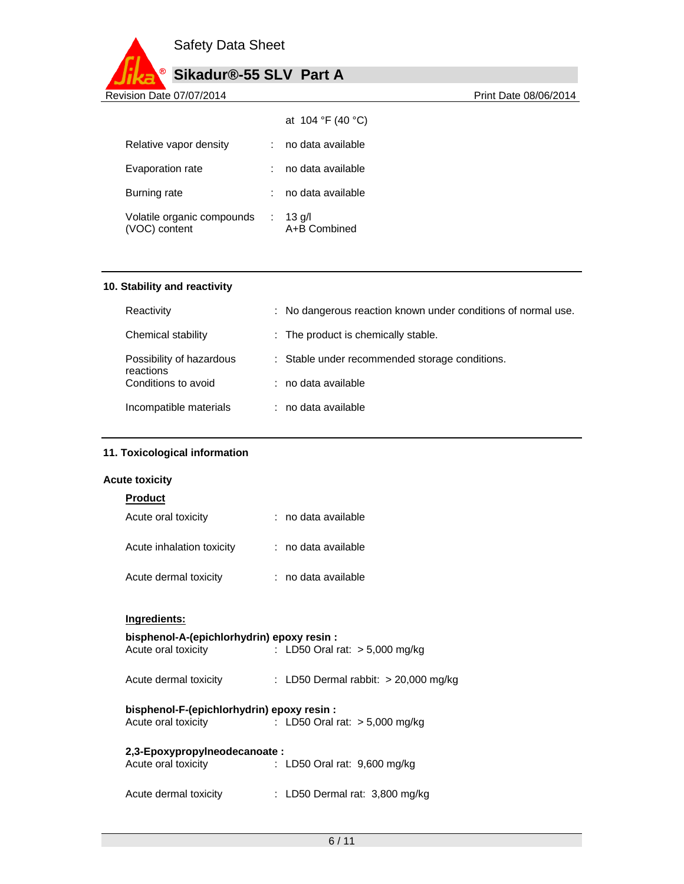

| Sikadur®-55 SLV Part A |  |
|------------------------|--|
|------------------------|--|

|                                             |   | at 104 °F (40 °C)        |
|---------------------------------------------|---|--------------------------|
| Relative vapor density                      |   | no data available        |
| Evaporation rate                            |   | no data available        |
| Burning rate                                |   | no data available        |
| Volatile organic compounds<br>(VOC) content | ÷ | $13$ g/l<br>A+B Combined |

#### **10. Stability and reactivity**

| Reactivity                            | : No dangerous reaction known under conditions of normal use. |
|---------------------------------------|---------------------------------------------------------------|
| Chemical stability                    | : The product is chemically stable.                           |
| Possibility of hazardous<br>reactions | : Stable under recommended storage conditions.                |
| Conditions to avoid                   | : no data available                                           |
| Incompatible materials                | : no data available                                           |

#### **11. Toxicological information**

### **Acute toxicity**

### **Product**

| Acute oral toxicity       | : no data available |
|---------------------------|---------------------|
| Acute inhalation toxicity | : no data available |
| Acute dermal toxicity     | : no data available |

#### **Ingredients:**

### **bisphenol-A-(epichlorhydrin) epoxy resin :**

| Acute oral toxicity | : LD50 Oral rat: $> 5,000$ mg/kg |  |
|---------------------|----------------------------------|--|
|                     |                                  |  |

| Acute dermal toxicity |  | : LD50 Dermal rabbit: $>$ 20,000 mg/kg |  |  |
|-----------------------|--|----------------------------------------|--|--|
|-----------------------|--|----------------------------------------|--|--|

# **bisphenol-F-(epichlorhydrin) epoxy resin :**

Acute oral toxicity : LD50 Oral rat: > 5,000 mg/kg

## **2,3-Epoxypropylneodecanoate :**

| Acute oral toxicity   | : LD50 Oral rat: 9,600 mg/kg   |
|-----------------------|--------------------------------|
| Acute dermal toxicity | : LD50 Dermal rat: 3,800 mg/kg |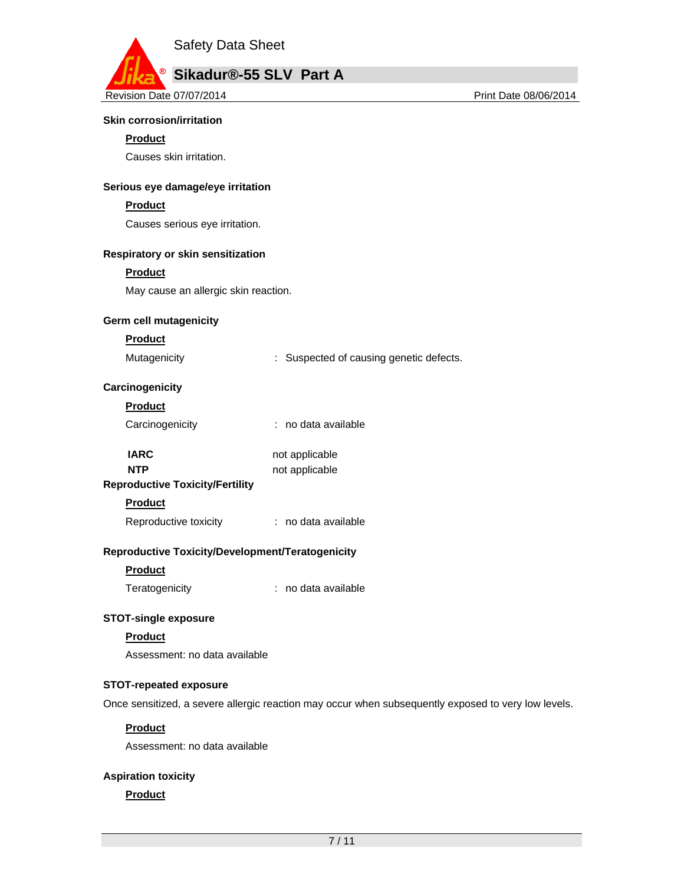

#### **Skin corrosion/irritation**

#### **Product**

Causes skin irritation.

#### **Serious eye damage/eye irritation**

#### **Product**

Causes serious eye irritation.

#### **Respiratory or skin sensitization**

#### **Product**

May cause an allergic skin reaction.

#### **Germ cell mutagenicity**

#### **Product**

Mutagenicity **Example 20** Suspected of causing genetic defects.

#### **Carcinogenicity**

| Product         |                     |
|-----------------|---------------------|
| Carcinogenicity | : no data available |

| IARC.                                                                                                               | not applicable |
|---------------------------------------------------------------------------------------------------------------------|----------------|
| <b>NTP</b>                                                                                                          | not applicable |
| - contra show the contract of the different life of the contract of the contract of the contract of the contract of |                |

# **Reproductive Toxicity/Fertility**

# **Product**

Reproductive toxicity : no data available

#### **Reproductive Toxicity/Development/Teratogenicity**

#### **Product**

Teratogenicity : no data available

#### **STOT-single exposure**

#### **Product**

Assessment: no data available

#### **STOT-repeated exposure**

Once sensitized, a severe allergic reaction may occur when subsequently exposed to very low levels.

#### **Product**

Assessment: no data available

#### **Aspiration toxicity**

#### **Product**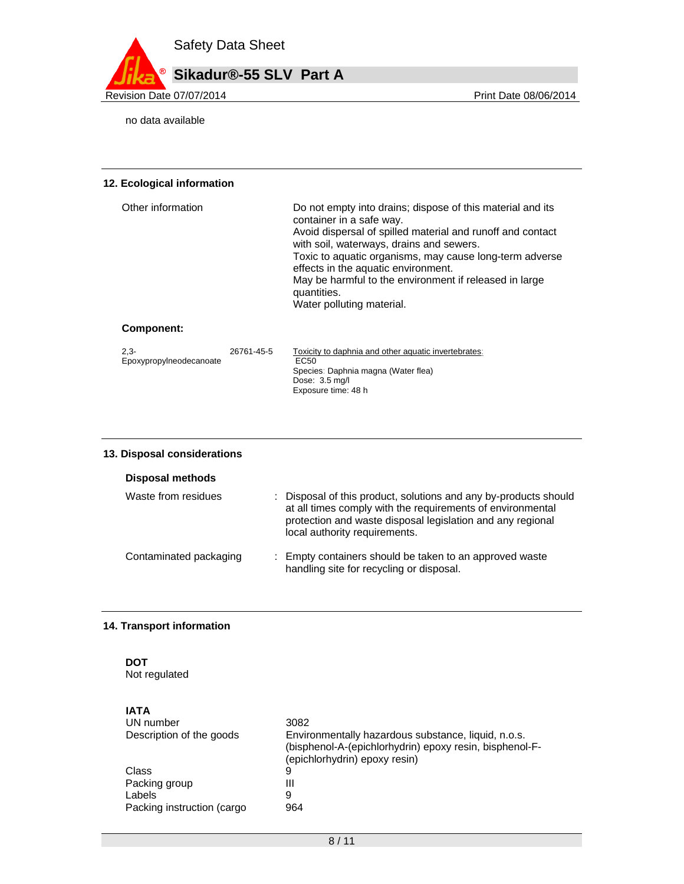

no data available

#### **12. Ecological information**

| Other information | Do not empty into drains; dispose of this material and its<br>container in a safe way.<br>Avoid dispersal of spilled material and runoff and contact<br>with soil, waterways, drains and sewers.<br>Toxic to aquatic organisms, may cause long-term adverse<br>effects in the aquatic environment.<br>May be harmful to the environment if released in large<br>quantities.<br>Water polluting material. |
|-------------------|----------------------------------------------------------------------------------------------------------------------------------------------------------------------------------------------------------------------------------------------------------------------------------------------------------------------------------------------------------------------------------------------------------|
| Component:        |                                                                                                                                                                                                                                                                                                                                                                                                          |

#### 2,3- Epoxypropylneodecanoate 26761-45-5 Toxicity to daphnia and other aquatic invertebrates: EC50 Species: Daphnia magna (Water flea) Dose: 3.5 mg/l Exposure time: 48 h

#### **13. Disposal considerations**

| Disposal methods       |                                                                                                                                                                                                                               |
|------------------------|-------------------------------------------------------------------------------------------------------------------------------------------------------------------------------------------------------------------------------|
| Waste from residues    | : Disposal of this product, solutions and any by-products should<br>at all times comply with the requirements of environmental<br>protection and waste disposal legislation and any regional<br>local authority requirements. |
| Contaminated packaging | : Empty containers should be taken to an approved waste<br>handling site for recycling or disposal.                                                                                                                           |

#### **14. Transport information**

# **DOT**

Not regulated

| 3082                                                                                                                                            |
|-------------------------------------------------------------------------------------------------------------------------------------------------|
| Environmentally hazardous substance, liquid, n.o.s.<br>(bisphenol-A-(epichlorhydrin) epoxy resin, bisphenol-F-<br>(epichlorhydrin) epoxy resin) |
| 9                                                                                                                                               |
| Ш                                                                                                                                               |
| 9                                                                                                                                               |
| 964                                                                                                                                             |
|                                                                                                                                                 |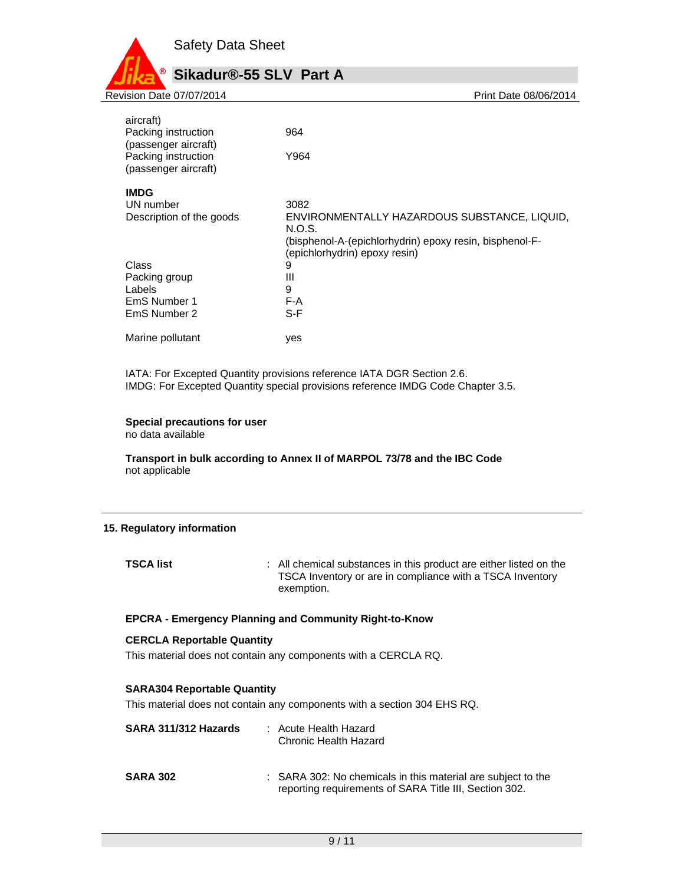

| 964                                                     |
|---------------------------------------------------------|
|                                                         |
| Y964                                                    |
|                                                         |
|                                                         |
| 3082                                                    |
| ENVIRONMENTALLY HAZARDOUS SUBSTANCE, LIQUID,            |
| N.O.S.                                                  |
| (bisphenol-A-(epichlorhydrin) epoxy resin, bisphenol-F- |
| (epichlorhydrin) epoxy resin)                           |
| 9                                                       |
| Ш                                                       |
| 9                                                       |
| F-A                                                     |
| S-F                                                     |
| ves                                                     |
|                                                         |

IATA: For Excepted Quantity provisions reference IATA DGR Section 2.6. IMDG: For Excepted Quantity special provisions reference IMDG Code Chapter 3.5.

#### **Special precautions for user**

no data available

**Transport in bulk according to Annex II of MARPOL 73/78 and the IBC Code**  not applicable

#### **15. Regulatory information**

**TSCA list interpretate in the substances in this product are either listed on the** TSCA Inventory or are in compliance with a TSCA Inventory exemption.

#### **EPCRA - Emergency Planning and Community Right-to-Know**

#### **CERCLA Reportable Quantity**

This material does not contain any components with a CERCLA RQ.

#### **SARA304 Reportable Quantity**

This material does not contain any components with a section 304 EHS RQ.

| SARA 311/312 Hazards | : Acute Health Hazard<br>Chronic Health Hazard                                                                         |
|----------------------|------------------------------------------------------------------------------------------------------------------------|
| <b>SARA 302</b>      | : SARA 302: No chemicals in this material are subject to the<br>reporting requirements of SARA Title III, Section 302. |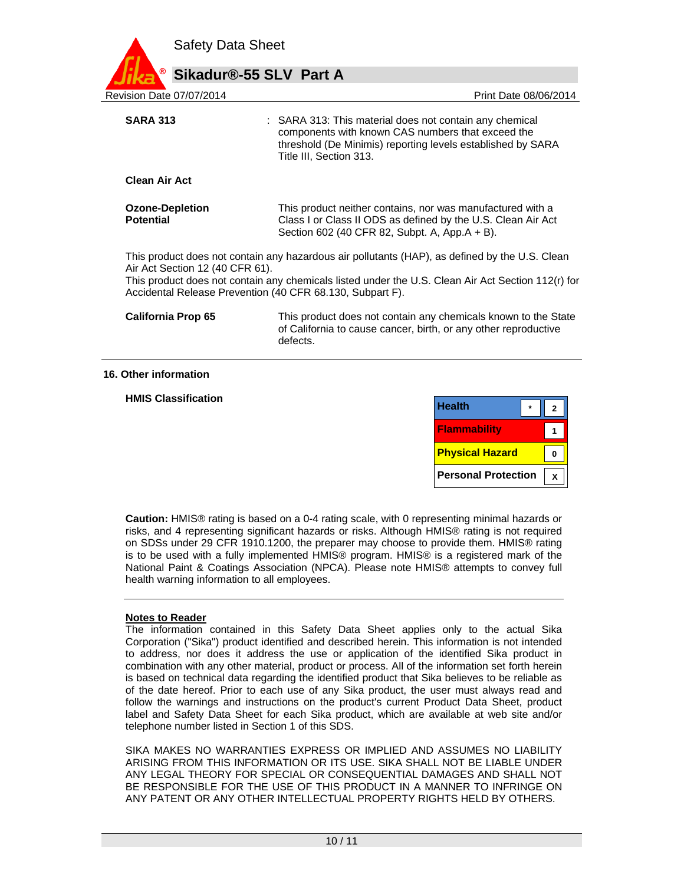

**Clean Air Act Ozone-Depletion Potential**  This product neither contains, nor was manufactured with a Class I or Class II ODS as defined by the U.S. Clean Air Act Section 602 (40 CFR 82, Subpt. A, App.A + B).

This product does not contain any hazardous air pollutants (HAP), as defined by the U.S. Clean Air Act Section 12 (40 CFR 61).

This product does not contain any chemicals listed under the U.S. Clean Air Act Section 112(r) for Accidental Release Prevention (40 CFR 68.130, Subpart F).

| <b>California Prop 65</b> | This product does not contain any chemicals known to the State  |
|---------------------------|-----------------------------------------------------------------|
|                           | of California to cause cancer, birth, or any other reproductive |
|                           | defects.                                                        |

#### **16. Other information**

**HMIS Classification** 

| <b>Health</b>          |  |
|------------------------|--|
| <b>Flammability</b>    |  |
| <b>Physical Hazard</b> |  |
|                        |  |

**Caution:** HMIS® rating is based on a 0-4 rating scale, with 0 representing minimal hazards or risks, and 4 representing significant hazards or risks. Although HMIS® rating is not required on SDSs under 29 CFR 1910.1200, the preparer may choose to provide them. HMIS® rating is to be used with a fully implemented HMIS® program. HMIS® is a registered mark of the National Paint & Coatings Association (NPCA). Please note HMIS® attempts to convey full health warning information to all employees.

#### **Notes to Reader**

The information contained in this Safety Data Sheet applies only to the actual Sika Corporation ("Sika") product identified and described herein. This information is not intended to address, nor does it address the use or application of the identified Sika product in combination with any other material, product or process. All of the information set forth herein is based on technical data regarding the identified product that Sika believes to be reliable as of the date hereof. Prior to each use of any Sika product, the user must always read and follow the warnings and instructions on the product's current Product Data Sheet, product label and Safety Data Sheet for each Sika product, which are available at web site and/or telephone number listed in Section 1 of this SDS.

SIKA MAKES NO WARRANTIES EXPRESS OR IMPLIED AND ASSUMES NO LIABILITY ARISING FROM THIS INFORMATION OR ITS USE. SIKA SHALL NOT BE LIABLE UNDER ANY LEGAL THEORY FOR SPECIAL OR CONSEQUENTIAL DAMAGES AND SHALL NOT BE RESPONSIBLE FOR THE USE OF THIS PRODUCT IN A MANNER TO INFRINGE ON ANY PATENT OR ANY OTHER INTELLECTUAL PROPERTY RIGHTS HELD BY OTHERS.